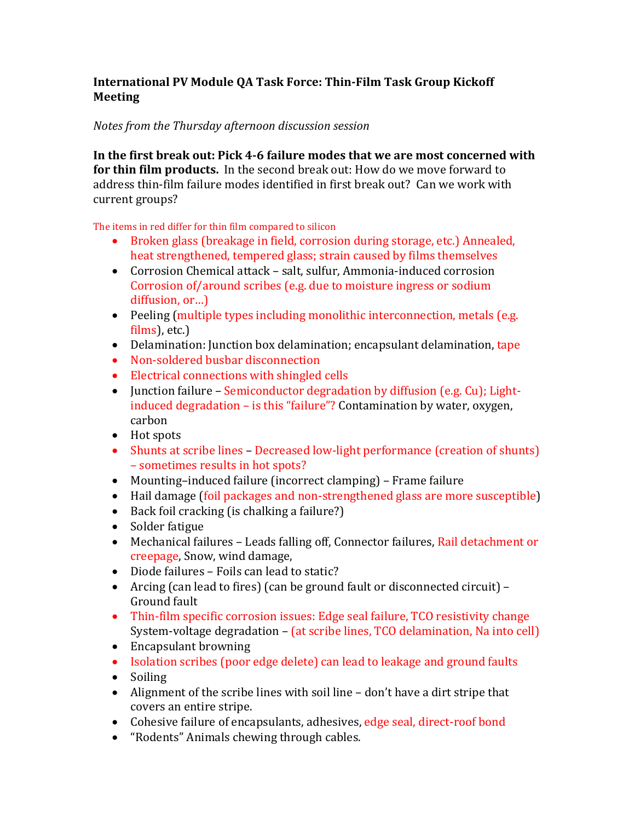## **International PV Module QA Task Force: Thin-Film Task Group Kickoff Meeting**

## *Notes from the Thursday afternoon discussion session*

**In the first break out: Pick 4-6 failure modes that we are most concerned with for thin film products.** In the second break out: How do we move forward to address thin-film failure modes identified in first break out? Can we work with current groups?

The items in red differ for thin film compared to silicon

- Broken glass (breakage in field, corrosion during storage, etc.) Annealed, heat strengthened, tempered glass; strain caused by films themselves
- Corrosion Chemical attack salt, sulfur, Ammonia-induced corrosion Corrosion of/around scribes (e.g. due to moisture ingress or sodium diffusion, or…)
- Peeling (multiple types including monolithic interconnection, metals (e.g. films), etc.)
- Delamination: Junction box delamination; encapsulant delamination, tape
- Non-soldered busbar disconnection
- Electrical connections with shingled cells
- Iunction failure Semiconductor degradation by diffusion (e.g. Cu); Lightinduced degradation – is this "failure"? Contamination by water, oxygen, carbon
- Hot spots
- Shunts at scribe lines Decreased low-light performance (creation of shunts) – sometimes results in hot spots?
- Mounting–induced failure (incorrect clamping) Frame failure
- Hail damage (foil packages and non-strengthened glass are more susceptible)
- Back foil cracking (is chalking a failure?)
- Solder fatigue
- Mechanical failures Leads falling off, Connector failures, Rail detachment or creepage, Snow, wind damage,
- Diode failures Foils can lead to static?
- Arcing (can lead to fires) (can be ground fault or disconnected circuit) Ground fault
- Thin-film specific corrosion issues: Edge seal failure, TCO resistivity change System-voltage degradation – (at scribe lines, TCO delamination, Na into cell)
- Encapsulant browning
- Isolation scribes (poor edge delete) can lead to leakage and ground faults
- Soiling
- Alignment of the scribe lines with soil line don't have a dirt stripe that covers an entire stripe.
- Cohesive failure of encapsulants, adhesives, edge seal, direct-roof bond
- "Rodents" Animals chewing through cables.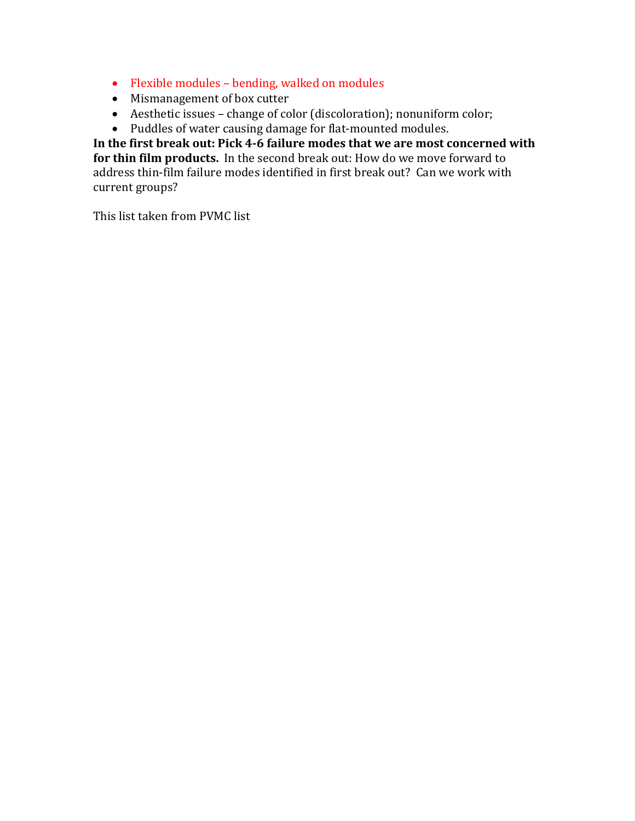- Flexible modules bending, walked on modules
- Mismanagement of box cutter
- Aesthetic issues change of color (discoloration); nonuniform color;
- Puddles of water causing damage for flat-mounted modules.

**In the first break out: Pick 4-6 failure modes that we are most concerned with for thin film products.** In the second break out: How do we move forward to address thin-film failure modes identified in first break out? Can we work with current groups?

This list taken from PVMC list